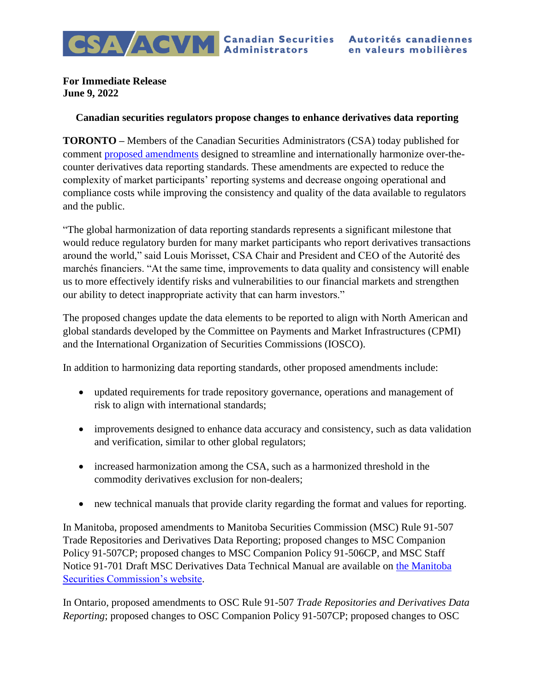**For Immediate Release June 9, 2022**

## **Canadian securities regulators propose changes to enhance derivatives data reporting**

**TORONTO –** Members of the Canadian Securities Administrators (CSA) today published for comment [proposed amendments](https://nssc.novascotia.ca/sites/default/files/docs/2022-06-09%20MI_CSA_Notice_-_96-101_Request_for_comment.pdf) designed to streamline and internationally harmonize over-thecounter derivatives data reporting standards. These amendments are expected to reduce the complexity of market participants' reporting systems and decrease ongoing operational and compliance costs while improving the consistency and quality of the data available to regulators and the public.

"The global harmonization of data reporting standards represents a significant milestone that would reduce regulatory burden for many market participants who report derivatives transactions around the world," said Louis Morisset, CSA Chair and President and CEO of the Autorité des marchés financiers. "At the same time, improvements to data quality and consistency will enable us to more effectively identify risks and vulnerabilities to our financial markets and strengthen our ability to detect inappropriate activity that can harm investors."

The proposed changes update the data elements to be reported to align with North American and global standards developed by the Committee on Payments and Market Infrastructures (CPMI) and the International Organization of Securities Commissions (IOSCO).

In addition to harmonizing data reporting standards, other proposed amendments include:

- updated requirements for trade repository governance, operations and management of risk to align with international standards;
- improvements designed to enhance data accuracy and consistency, such as data validation and verification, similar to other global regulators;
- increased harmonization among the CSA, such as a harmonized threshold in the commodity derivatives exclusion for non-dealers;
- new technical manuals that provide clarity regarding the format and values for reporting.

In Manitoba, proposed amendments to Manitoba Securities Commission (MSC) Rule 91-507 Trade Repositories and Derivatives Data Reporting; proposed changes to MSC Companion Policy 91-507CP; proposed changes to MSC Companion Policy 91-506CP, and MSC Staff Notice 91-701 Draft MSC Derivatives Data Technical Manual are available on [the Manitoba](http://www.mbsecurities.ca/)  [Securities Commission's website.](http://www.mbsecurities.ca/)

In Ontario, proposed amendments to OSC Rule 91-507 *Trade Repositories and Derivatives Data Reporting*; proposed changes to OSC Companion Policy 91-507CP; proposed changes to OSC